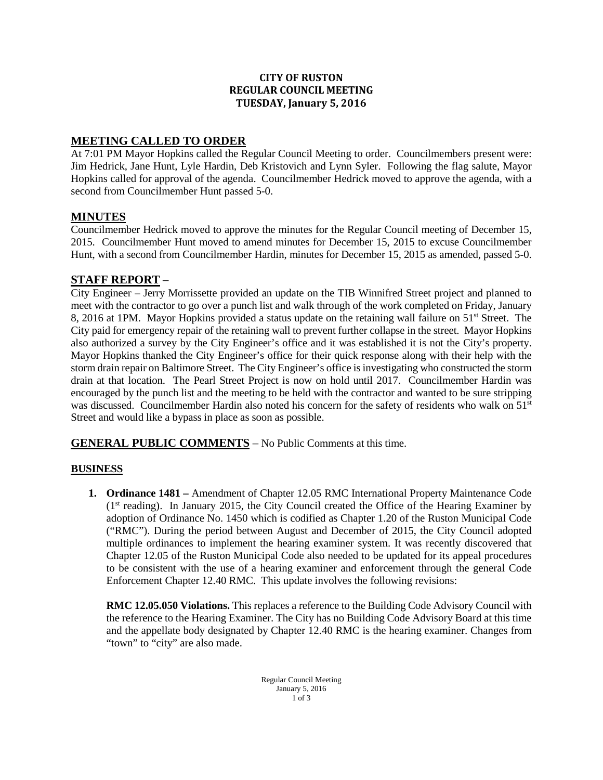#### **CITY OF RUSTON REGULAR COUNCIL MEETING TUESDAY, January 5, 2016**

## **MEETING CALLED TO ORDER**

At 7:01 PM Mayor Hopkins called the Regular Council Meeting to order. Councilmembers present were: Jim Hedrick, Jane Hunt, Lyle Hardin, Deb Kristovich and Lynn Syler. Following the flag salute, Mayor Hopkins called for approval of the agenda. Councilmember Hedrick moved to approve the agenda, with a second from Councilmember Hunt passed 5-0.

#### **MINUTES**

Councilmember Hedrick moved to approve the minutes for the Regular Council meeting of December 15, 2015. Councilmember Hunt moved to amend minutes for December 15, 2015 to excuse Councilmember Hunt, with a second from Councilmember Hardin, minutes for December 15, 2015 as amended, passed 5-0.

### **STAFF REPORT** –

City Engineer – Jerry Morrissette provided an update on the TIB Winnifred Street project and planned to meet with the contractor to go over a punch list and walk through of the work completed on Friday, January 8, 2016 at 1PM. Mayor Hopkins provided a status update on the retaining wall failure on 51<sup>st</sup> Street. The City paid for emergency repair of the retaining wall to prevent further collapse in the street. Mayor Hopkins also authorized a survey by the City Engineer's office and it was established it is not the City's property. Mayor Hopkins thanked the City Engineer's office for their quick response along with their help with the storm drain repair on Baltimore Street. The City Engineer's office is investigating who constructed the storm drain at that location. The Pearl Street Project is now on hold until 2017. Councilmember Hardin was encouraged by the punch list and the meeting to be held with the contractor and wanted to be sure stripping was discussed. Councilmember Hardin also noted his concern for the safety of residents who walk on 51<sup>st</sup> Street and would like a bypass in place as soon as possible.

**GENERAL PUBLIC COMMENTS** – No Public Comments at this time.

#### **BUSINESS**

**1. Ordinance 1481 –** Amendment of Chapter 12.05 RMC International Property Maintenance Code  $(1<sup>st</sup> reading)$ . In January 2015, the City Council created the Office of the Hearing Examiner by adoption of Ordinance No. 1450 which is codified as Chapter 1.20 of the Ruston Municipal Code ("RMC"). During the period between August and December of 2015, the City Council adopted multiple ordinances to implement the hearing examiner system. It was recently discovered that Chapter 12.05 of the Ruston Municipal Code also needed to be updated for its appeal procedures to be consistent with the use of a hearing examiner and enforcement through the general Code Enforcement Chapter 12.40 RMC. This update involves the following revisions:

**RMC 12.05.050 Violations.** This replaces a reference to the Building Code Advisory Council with the reference to the Hearing Examiner. The City has no Building Code Advisory Board at this time and the appellate body designated by Chapter 12.40 RMC is the hearing examiner. Changes from "town" to "city" are also made.

> Regular Council Meeting January 5, 2016  $1$  of 3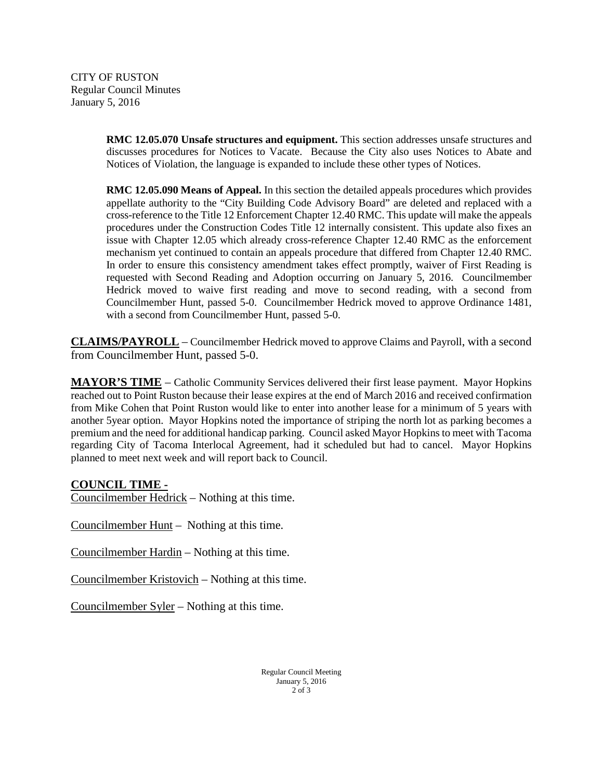CITY OF RUSTON Regular Council Minutes January 5, 2016

> **RMC 12.05.070 Unsafe structures and equipment.** This section addresses unsafe structures and discusses procedures for Notices to Vacate. Because the City also uses Notices to Abate and Notices of Violation, the language is expanded to include these other types of Notices.

> **RMC 12.05.090 Means of Appeal.** In this section the detailed appeals procedures which provides appellate authority to the "City Building Code Advisory Board" are deleted and replaced with a cross-reference to the Title 12 Enforcement Chapter 12.40 RMC. This update will make the appeals procedures under the Construction Codes Title 12 internally consistent. This update also fixes an issue with Chapter 12.05 which already cross-reference Chapter 12.40 RMC as the enforcement mechanism yet continued to contain an appeals procedure that differed from Chapter 12.40 RMC. In order to ensure this consistency amendment takes effect promptly, waiver of First Reading is requested with Second Reading and Adoption occurring on January 5, 2016. Councilmember Hedrick moved to waive first reading and move to second reading, with a second from Councilmember Hunt, passed 5-0. Councilmember Hedrick moved to approve Ordinance 1481, with a second from Councilmember Hunt, passed 5-0.

**CLAIMS/PAYROLL** – Councilmember Hedrick moved to approve Claims and Payroll, with a second from Councilmember Hunt, passed 5-0.

**MAYOR'S TIME** – Catholic Community Services delivered their first lease payment. Mayor Hopkins reached out to Point Ruston because their lease expires at the end of March 2016 and received confirmation from Mike Cohen that Point Ruston would like to enter into another lease for a minimum of 5 years with another 5year option. Mayor Hopkins noted the importance of striping the north lot as parking becomes a premium and the need for additional handicap parking. Council asked Mayor Hopkins to meet with Tacoma regarding City of Tacoma Interlocal Agreement, had it scheduled but had to cancel. Mayor Hopkins planned to meet next week and will report back to Council.

## **COUNCIL TIME -**

Councilmember Hedrick – Nothing at this time.

Councilmember Hunt – Nothing at this time.

Councilmember Hardin – Nothing at this time.

Councilmember Kristovich – Nothing at this time.

Councilmember Syler – Nothing at this time.

Regular Council Meeting January 5, 2016 2 of 3